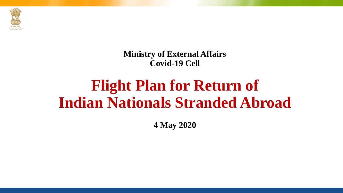

**Ministry of External Affairs Covid-19 Cell**

# **Flight Plan for Return of Indian Nationals Stranded Abroad**

**4 May 2020**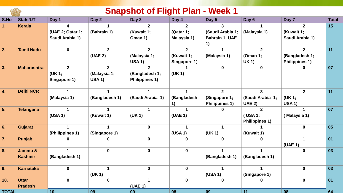|              |                    |                      |                | <b>Snapshot of Flight Plan - Week 1</b> |              |                             |                       |                       |              |
|--------------|--------------------|----------------------|----------------|-----------------------------------------|--------------|-----------------------------|-----------------------|-----------------------|--------------|
| S.No         | <b>State/UT</b>    | Day 1                | Day 2          | Day 3                                   | Day 4        | Day 5                       | Day 6                 | Day 7                 | <b>Total</b> |
| 1.           | <b>Kerala</b>      | 4                    |                | $\mathbf{2}$                            | $\mathbf{2}$ | 3                           |                       | $\mathbf{2}$          | 15           |
|              |                    | (UAE 2; Qatar 1;     | (Bahrain 1)    | (Kuwait 1;                              | (Qatar 1;    | (Saudi Arabia 1;            | (Malaysia 1)          | (Kuwait 1;            |              |
|              |                    | Saudi Arabia 1)      |                | Oman 1)                                 | Malaysia 1)  | <b>Bahrain 1; UAE</b><br>1) |                       | Saudi Arabia 1)       |              |
| 2.           | <b>Tamil Nadu</b>  | $\mathbf 0$          | $\mathbf{2}$   | $\overline{2}$                          | $\mathbf{2}$ |                             | $\overline{2}$        | $\mathbf{2}$          | 11           |
|              |                    |                      | (UAE 2)        | (Malaysia 1;                            | (Kuwait 1;   | (Malaysia 1)                | (Oman 1;              | (Bangladesh 1;        |              |
|              |                    |                      |                | <b>USA 1)</b>                           | Singapore 1) |                             | <b>UK 1)</b>          | <b>Philippines 1)</b> |              |
| 3.           | <b>Maharashtra</b> | $\overline{2}$       | $\overline{2}$ | $\mathbf{2}$                            |              | $\mathbf{0}$                | $\mathbf{0}$          |                       | 07           |
|              |                    | (UK 1;               | (Malaysia 1;   | (Bangladesh 1;                          | (UK 1)       |                             |                       |                       |              |
|              |                    | Singapore 1)         | <b>USA 1)</b>  | Philippines 1)                          |              |                             |                       |                       |              |
| 4.           | <b>Delhi NCR</b>   | $\blacktriangleleft$ |                | $\mathbf 1$                             |              | $\mathbf{2}$                | 3 <sup>1</sup>        | $\mathbf{2}$          | 11           |
|              |                    | (Malaysia 1)         | (Bangladesh 1) | (Saudi Arabia 1)                        | (Bangladesh  | (Singapore 1;               | (Saudi Arabia 1;      | (UK 1;                |              |
|              |                    |                      |                |                                         | 1)           | Philippines 1)              | <b>UAE 2)</b>         | <b>USA 1)</b>         |              |
| 5.           | <b>Telangana</b>   |                      |                |                                         |              | $\mathbf{0}$                | $\mathbf{2}$          |                       | 07           |
|              |                    | (USA 1)              | (Kuwait 1)     | (UK 1)                                  | (UAE 1)      |                             | $($ USA 1;            | (Malaysia 1)          |              |
|              |                    |                      |                |                                         |              |                             | <b>Philippines 1)</b> |                       |              |
| 6.           | Gujarat            | 1                    |                | $\mathbf 0$                             |              |                             |                       | $\mathbf 0$           | 05           |
|              |                    | (Philippines 1)      | (Singapore 1)  |                                         | (USA 1)      | (UK 1)                      | (Kuwait 1)            |                       |              |
| 7.           | Punjab             | 0                    | 0              | $\mathbf 0$                             | $\bf{0}$     | $\bf{0}$                    | 0                     | 1                     | 01           |
|              |                    |                      |                |                                         |              |                             |                       | (UAE 1)               |              |
| 8.           | Jammu &            | 1                    | $\mathbf 0$    | $\mathbf 0$                             | $\mathbf 0$  |                             |                       | 0                     | 03           |
|              | <b>Kashmir</b>     | (Bangladesh 1)       |                |                                         |              | (Bangladesh 1)              | (Bangladesh 1)        |                       |              |
| 9.           | Karnataka          | $\boldsymbol{0}$     |                | $\bf{0}$                                | $\bf{0}$     |                             | 1                     | 0                     | 03           |
|              |                    |                      | (UK 1)         |                                         |              | (USA 1)                     | (Singapore 1)         |                       |              |
| 10.          | <b>Uttar</b>       | $\mathbf 0$          | $\mathbf 0$    |                                         | $\bf{0}$     | $\mathbf 0$                 | 0                     | $\mathbf 0$           | 01           |
|              | <b>Pradesh</b>     |                      |                | (UAE 1)                                 |              |                             |                       |                       |              |
| <b>TOTAL</b> |                    | 10                   | 09             | 09                                      | 08           | 09                          | 11                    | 08                    | 64           |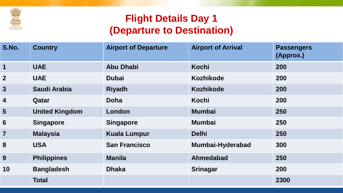

## **Flight Details Day 1 (Departure to Destination)**

| S.No.                   | <b>Country</b>        | <b>Airport of Departure</b> | <b>Airport of Arrival</b> | <b>Passengers</b><br>(Approx.) |
|-------------------------|-----------------------|-----------------------------|---------------------------|--------------------------------|
| 1                       | <b>UAE</b>            | <b>Abu Dhabi</b>            | <b>Kochi</b>              | 200                            |
| $\overline{2}$          | <b>UAE</b>            | <b>Dubai</b>                | <b>Kozhikode</b>          | 200                            |
| 3                       | <b>Saudi Arabia</b>   | <b>Riyadh</b>               | <b>Kozhikode</b>          | <b>200</b>                     |
| $\overline{\mathbf{4}}$ | Qatar                 | <b>Doha</b>                 | <b>Kochi</b>              | 200                            |
| $5\phantom{1}$          | <b>United Kingdom</b> | London                      | <b>Mumbai</b>             | 250                            |
| 6                       | <b>Singapore</b>      | <b>Singapore</b>            | <b>Mumbai</b>             | 250                            |
| $\overline{7}$          | <b>Malaysia</b>       | <b>Kuala Lumpur</b>         | <b>Delhi</b>              | 250                            |
| 8                       | <b>USA</b>            | <b>San Francisco</b>        | Mumbai-Hyderabad          | 300                            |
| 9                       | <b>Philippines</b>    | <b>Manila</b>               | <b>Ahmedabad</b>          | 250                            |
| 10                      | <b>Bangladesh</b>     | <b>Dhaka</b>                | <b>Srinagar</b>           | 200                            |
|                         | <b>Total</b>          |                             |                           | 2300                           |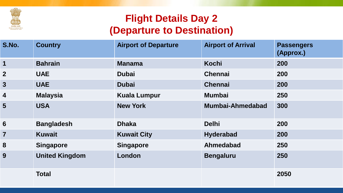

## **Flight Details Day 2 (Departure to Destination)**

| S.No.                   | <b>Country</b>        | <b>Airport of Departure</b> | <b>Airport of Arrival</b> | <b>Passengers</b><br>(Approx.) |
|-------------------------|-----------------------|-----------------------------|---------------------------|--------------------------------|
| 1                       | <b>Bahrain</b>        | <b>Manama</b>               | Kochi                     | 200                            |
| $\boldsymbol{2}$        | <b>UAE</b>            | <b>Dubai</b>                | <b>Chennai</b>            | 200                            |
| 3                       | <b>UAE</b>            | <b>Dubai</b>                | <b>Chennai</b>            | 200                            |
| $\overline{\mathbf{4}}$ | <b>Malaysia</b>       | <b>Kuala Lumpur</b>         | <b>Mumbai</b>             | 250                            |
| 5                       | <b>USA</b>            | <b>New York</b>             | Mumbai-Ahmedabad          | 300                            |
| $6\phantom{1}6$         | <b>Bangladesh</b>     | <b>Dhaka</b>                | <b>Delhi</b>              | 200                            |
| $\overline{\mathbf{7}}$ | <b>Kuwait</b>         | <b>Kuwait City</b>          | <b>Hyderabad</b>          | 200                            |
| 8                       | <b>Singapore</b>      | <b>Singapore</b>            | Ahmedabad                 | 250                            |
| 9                       | <b>United Kingdom</b> | London                      | <b>Bengaluru</b>          | 250                            |
|                         | <b>Total</b>          |                             |                           | 2050                           |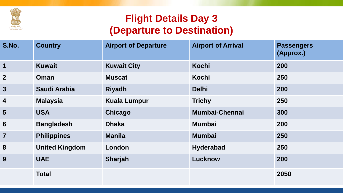

## **Flight Details Day 3 (Departure to Destination)**

| S.No.                   | <b>Country</b>        | <b>Airport of Departure</b> | <b>Airport of Arrival</b> | <b>Passengers</b><br>(Approx.) |
|-------------------------|-----------------------|-----------------------------|---------------------------|--------------------------------|
| $\mathbf 1$             | <b>Kuwait</b>         | <b>Kuwait City</b>          | Kochi                     | 200                            |
| $\overline{2}$          | Oman                  | <b>Muscat</b>               | Kochi                     | 250                            |
| $\mathbf{3}$            | <b>Saudi Arabia</b>   | <b>Riyadh</b>               | <b>Delhi</b>              | 200                            |
| $\overline{\mathbf{4}}$ | <b>Malaysia</b>       | <b>Kuala Lumpur</b>         | <b>Trichy</b>             | 250                            |
| 5 <sup>5</sup>          | <b>USA</b>            | Chicago                     | <b>Mumbai-Chennai</b>     | 300                            |
| 6                       | <b>Bangladesh</b>     | <b>Dhaka</b>                | <b>Mumbai</b>             | 200                            |
| $\overline{7}$          | <b>Philippines</b>    | <b>Manila</b>               | <b>Mumbai</b>             | 250                            |
| 8                       | <b>United Kingdom</b> | London                      | <b>Hyderabad</b>          | 250                            |
| 9                       | <b>UAE</b>            | Sharjah                     | Lucknow                   | 200                            |
|                         | <b>Total</b>          |                             |                           | 2050                           |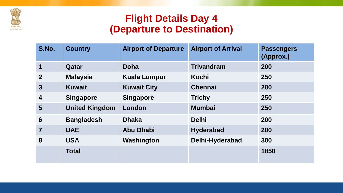

#### **Flight Details Day 4 (Departure to Destination)**

| S.No.                   | <b>Country</b>        | <b>Airport of Departure</b> | <b>Airport of Arrival</b> | <b>Passengers</b><br>(Approx.) |
|-------------------------|-----------------------|-----------------------------|---------------------------|--------------------------------|
| 1                       | Qatar                 | <b>Doha</b>                 | <b>Trivandram</b>         | 200                            |
| $\boldsymbol{2}$        | <b>Malaysia</b>       | <b>Kuala Lumpur</b>         | Kochi                     | 250                            |
| $\overline{3}$          | <b>Kuwait</b>         | <b>Kuwait City</b>          | <b>Chennai</b>            | 200                            |
| $\overline{\mathbf{4}}$ | <b>Singapore</b>      | <b>Singapore</b>            | <b>Trichy</b>             | 250                            |
| 5                       | <b>United Kingdom</b> | London                      | <b>Mumbai</b>             | 250                            |
| 6                       | <b>Bangladesh</b>     | <b>Dhaka</b>                | <b>Delhi</b>              | 200                            |
| $\overline{7}$          | <b>UAE</b>            | <b>Abu Dhabi</b>            | <b>Hyderabad</b>          | 200                            |
| 8                       | <b>USA</b>            | Washington                  | Delhi-Hyderabad           | 300                            |
|                         | <b>Total</b>          |                             |                           | 1850                           |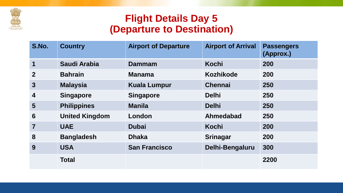

### **Flight Details Day 5 (Departure to Destination)**

| S.No.           | <b>Country</b>        | <b>Airport of Departure</b> | <b>Airport of Arrival</b> | <b>Passengers</b><br>(Approx.) |
|-----------------|-----------------------|-----------------------------|---------------------------|--------------------------------|
| 1               | Saudi Arabia          | Dammam                      | <b>Kochi</b>              | 200                            |
| $\overline{2}$  | <b>Bahrain</b>        | <b>Manama</b>               | <b>Kozhikode</b>          | 200                            |
| $\mathbf{3}$    | <b>Malaysia</b>       | <b>Kuala Lumpur</b>         | <b>Chennai</b>            | 250                            |
| 4               | <b>Singapore</b>      | <b>Singapore</b>            | <b>Delhi</b>              | 250                            |
| 5               | <b>Philippines</b>    | <b>Manila</b>               | <b>Delhi</b>              | 250                            |
| $6\phantom{1}6$ | <b>United Kingdom</b> | London                      | Ahmedabad                 | 250                            |
| 7               | <b>UAE</b>            | <b>Dubai</b>                | <b>Kochi</b>              | 200                            |
| 8               | <b>Bangladesh</b>     | <b>Dhaka</b>                | <b>Srinagar</b>           | 200                            |
| 9               | <b>USA</b>            | <b>San Francisco</b>        | Delhi-Bengaluru           | 300                            |
|                 | <b>Total</b>          |                             |                           | 2200                           |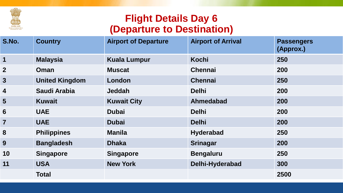

### **Flight Details Day 6 (Departure to Destination)**

| S.No.                   | <b>Country</b>        | <b>Airport of Departure</b> | <b>Airport of Arrival</b> | <b>Passengers</b><br>(Approx.) |
|-------------------------|-----------------------|-----------------------------|---------------------------|--------------------------------|
| $\overline{\mathbf{1}}$ | <b>Malaysia</b>       | <b>Kuala Lumpur</b>         | Kochi                     | 250                            |
| $\boldsymbol{2}$        | Oman                  | <b>Muscat</b>               | <b>Chennai</b>            | 200                            |
| $\mathbf{3}$            | <b>United Kingdom</b> | London                      | <b>Chennai</b>            | 250                            |
| 4                       | <b>Saudi Arabia</b>   | <b>Jeddah</b>               | <b>Delhi</b>              | 200                            |
| 5                       | <b>Kuwait</b>         | <b>Kuwait City</b>          | Ahmedabad                 | 200                            |
| 6                       | <b>UAE</b>            | <b>Dubai</b>                | <b>Delhi</b>              | 200                            |
| $\overline{7}$          | <b>UAE</b>            | <b>Dubai</b>                | <b>Delhi</b>              | 200                            |
| 8                       | <b>Philippines</b>    | <b>Manila</b>               | <b>Hyderabad</b>          | <b>250</b>                     |
| 9                       | <b>Bangladesh</b>     | <b>Dhaka</b>                | <b>Srinagar</b>           | 200                            |
| 10                      | <b>Singapore</b>      | <b>Singapore</b>            | <b>Bengaluru</b>          | 250                            |
| 11                      | <b>USA</b>            | <b>New York</b>             | Delhi-Hyderabad           | 300                            |
|                         | <b>Total</b>          |                             |                           | 2500                           |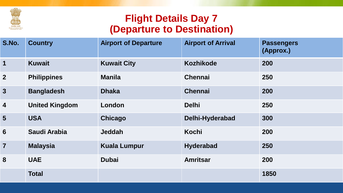

### **Flight Details Day 7 (Departure to Destination)**

| S.No.                   | <b>Country</b>        | <b>Airport of Departure</b> | <b>Airport of Arrival</b> | <b>Passengers</b><br>(Approx.) |
|-------------------------|-----------------------|-----------------------------|---------------------------|--------------------------------|
| $\mathbf 1$             | <b>Kuwait</b>         | <b>Kuwait City</b>          | <b>Kozhikode</b>          | 200                            |
| 2 <sup>2</sup>          | <b>Philippines</b>    | <b>Manila</b>               | <b>Chennai</b>            | 250                            |
| 3                       | <b>Bangladesh</b>     | <b>Dhaka</b>                | <b>Chennai</b>            | 200                            |
| $\overline{\mathbf{4}}$ | <b>United Kingdom</b> | London                      | <b>Delhi</b>              | 250                            |
| $5\overline{)}$         | <b>USA</b>            | Chicago                     | Delhi-Hyderabad           | 300                            |
| 6                       | Saudi Arabia          | <b>Jeddah</b>               | Kochi                     | 200                            |
| $\overline{7}$          | <b>Malaysia</b>       | <b>Kuala Lumpur</b>         | <b>Hyderabad</b>          | 250                            |
| 8                       | <b>UAE</b>            | <b>Dubai</b>                | <b>Amritsar</b>           | 200                            |
|                         | <b>Total</b>          |                             |                           | 1850                           |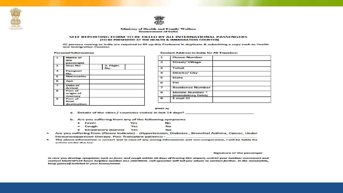



#### **Ministry of Health and Family Welfare**<br>**Government of India**

#### SELF REPORTING FORM TO BE FILLED BY ALL INTERNATIONAL PASSENGERS (TO BE PRESENTED AT THE HEALTH & IMMIGRATION COUNTER)

All persons coming to India are required to fill-up this Proforma in duplicate & submitting a copy each to Health and Immigration Counter.

**Personal Information** 

| $\mathbf{L}$                | <b>Name of</b>     |           |  |
|-----------------------------|--------------------|-----------|--|
|                             | the                |           |  |
|                             | passenger          |           |  |
| $\mathbf{z}$                | <b>Seat No.</b>    | 3. Flight |  |
|                             |                    | No.       |  |
| 4                           | Passport           |           |  |
|                             | No.                |           |  |
| 5                           | <b>Nationality</b> |           |  |
|                             |                    |           |  |
| 6                           | Age                |           |  |
|                             |                    |           |  |
| $\overline{\boldsymbol{z}}$ | Date of            |           |  |
|                             | Arrival            |           |  |
| 8                           | Port of            |           |  |
|                             | origin of          |           |  |
|                             | Journey            |           |  |
| 9                           | Port of            |           |  |
|                             | final              |           |  |
|                             | destination        |           |  |

#### 1 **House Number Street/ Village** 2 з **Tehsil District/City** 4 5 **State** 6 Pin  $\overline{ }$ **Residence Number Mobile Number \*** 8 (mandatory field) E mail ID 9

#### (PART-A)

- a. Details of the cities / countries visited in last 14 days?
- b. Are you suffering from any of the following symptoms
	- Fever Yes No
	- Cough Yes No  $\bullet$
	- Respiratory distress Yes No
- Are you suffering from (Please Indicate) (Hypertension, Diabetes, Bronchial Asthma, Cancer, Under Immunosuppresive therapy, Post Transplant patients) -
- The above information is correct and in case of any wrong information and non-cooperation, I will be liable for action under the law.

#### **Signature of the passenger**

In case you develop symptoms such as fever and cough within 28 days of leaving this airport, restrict your outdoor movement and contact MoHFW's24 hours helpline number 011-23978046. Call operator will tell you whom to contact further. In the meanwhile, keep yourself isolated in your house/room.

#### **Contact Address in India for All Travelers:**